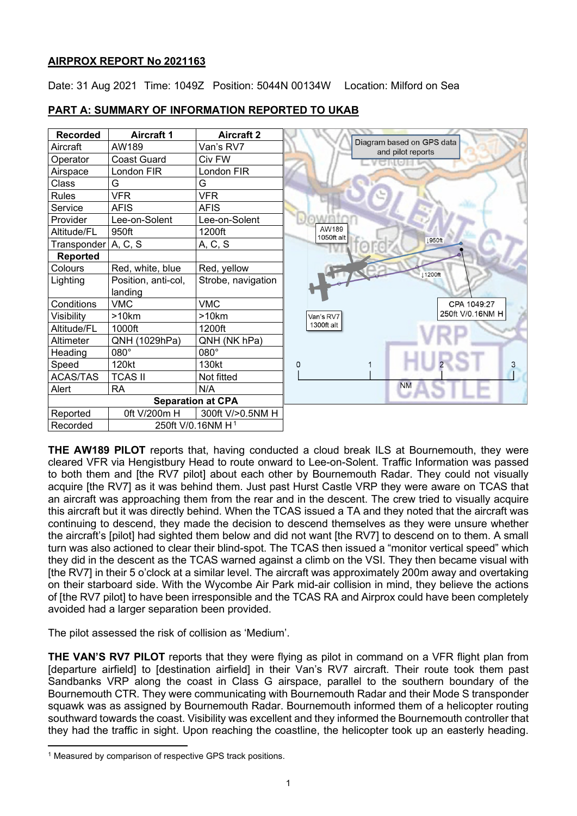# **AIRPROX REPORT No 2021163**

Date: 31 Aug 2021 Time: 1049Z Position: 5044N 00134W Location: Milford on Sea

| <b>Recorded</b>          | <b>Aircraft 1</b>   | <b>Aircraft 2</b>  |                                                |
|--------------------------|---------------------|--------------------|------------------------------------------------|
| Aircraft                 | AW189               | Van's RV7          | Diagram based on GPS data<br>and pilot reports |
| Operator                 | <b>Coast Guard</b>  | Civ FW             |                                                |
| Airspace                 | London FIR          | London FIR         |                                                |
| Class                    | G                   | G                  |                                                |
| <b>Rules</b>             | <b>VFR</b>          | <b>VFR</b>         |                                                |
| Service                  | <b>AFIS</b>         | AFIS               |                                                |
| Provider                 | Lee-on-Solent       | Lee-on-Solent      |                                                |
| Altitude/FL              | 950ft               | 1200ft             | AW189<br>1050ft alt                            |
| Transponder              | A, C, S             | A, C, S            | 1950ft                                         |
| <b>Reported</b>          |                     |                    |                                                |
| Colours                  | Red, white, blue    | Red, yellow        | 11200ft                                        |
| Lighting                 | Position, anti-col, | Strobe, navigation |                                                |
|                          | landing             |                    |                                                |
| Conditions               | <b>VMC</b>          | <b>VMC</b>         | CPA 1049:27                                    |
| Visibility               | >10km               | >10km              | 250ft V/0.16NM H<br>Van's RV7                  |
| Altitude/FL              | 1000ft              | 1200ft             | 1300ft alt                                     |
| Altimeter                | QNH (1029hPa)       | QNH (NK hPa)       |                                                |
| Heading                  | 080°                | $080^\circ$        |                                                |
| Speed                    | 120kt               | 130kt              | 3<br>0                                         |
| <b>ACAS/TAS</b>          | <b>TCAS II</b>      | Not fitted         |                                                |
| Alert                    | <b>RA</b>           | N/A                | <b>NM</b>                                      |
| <b>Separation at CPA</b> |                     |                    |                                                |
| Reported                 | 0ft V/200m H        | 300ft V/>0.5NM H   |                                                |

# **PART A: SUMMARY OF INFORMATION REPORTED TO UKAB**

**THE AW189 PILOT** reports that, having conducted a cloud break ILS at Bournemouth, they were cleared VFR via Hengistbury Head to route onward to Lee-on-Solent. Traffic Information was passed to both them and [the RV7 pilot] about each other by Bournemouth Radar. They could not visually acquire [the RV7] as it was behind them. Just past Hurst Castle VRP they were aware on TCAS that an aircraft was approaching them from the rear and in the descent. The crew tried to visually acquire this aircraft but it was directly behind. When the TCAS issued a TA and they noted that the aircraft was continuing to descend, they made the decision to descend themselves as they were unsure whether the aircraft's [pilot] had sighted them below and did not want [the RV7] to descend on to them. A small turn was also actioned to clear their blind-spot. The TCAS then issued a "monitor vertical speed" which they did in the descent as the TCAS warned against a climb on the VSI. They then became visual with [the RV7] in their 5 o'clock at a similar level. The aircraft was approximately 200m away and overtaking on their starboard side. With the Wycombe Air Park mid-air collision in mind, they believe the actions of [the RV7 pilot] to have been irresponsible and the TCAS RA and Airprox could have been completely avoided had a larger separation been provided.

The pilot assessed the risk of collision as 'Medium'.

Recorded | 250ft V/0.[1](#page-0-0)6NM H<sup>1</sup>

**THE VAN'S RV7 PILOT** reports that they were flying as pilot in command on a VFR flight plan from [departure airfield] to [destination airfield] in their Van's RV7 aircraft. Their route took them past Sandbanks VRP along the coast in Class G airspace, parallel to the southern boundary of the Bournemouth CTR. They were communicating with Bournemouth Radar and their Mode S transponder squawk was as assigned by Bournemouth Radar. Bournemouth informed them of a helicopter routing southward towards the coast. Visibility was excellent and they informed the Bournemouth controller that they had the traffic in sight. Upon reaching the coastline, the helicopter took up an easterly heading.

<span id="page-0-0"></span><sup>&</sup>lt;sup>1</sup> Measured by comparison of respective GPS track positions.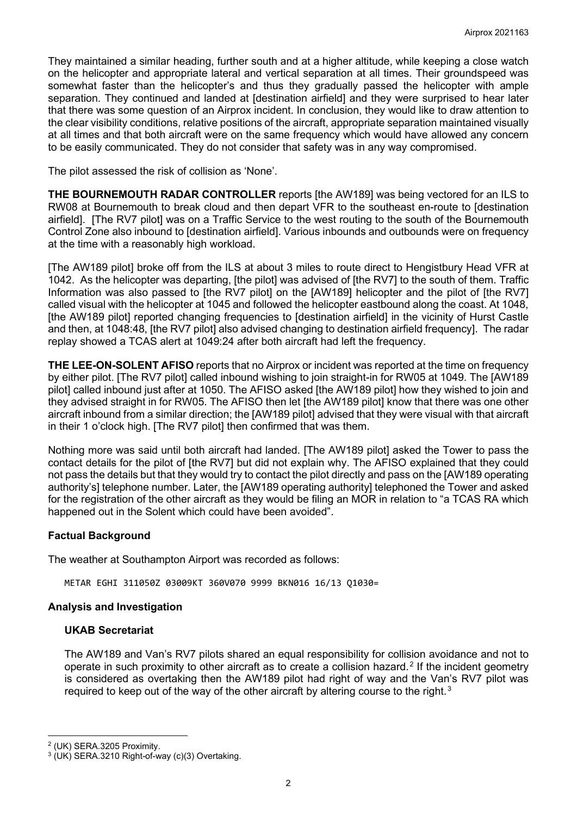They maintained a similar heading, further south and at a higher altitude, while keeping a close watch on the helicopter and appropriate lateral and vertical separation at all times. Their groundspeed was somewhat faster than the helicopter's and thus they gradually passed the helicopter with ample separation. They continued and landed at [destination airfield] and they were surprised to hear later that there was some question of an Airprox incident. In conclusion, they would like to draw attention to the clear visibility conditions, relative positions of the aircraft, appropriate separation maintained visually at all times and that both aircraft were on the same frequency which would have allowed any concern to be easily communicated. They do not consider that safety was in any way compromised.

The pilot assessed the risk of collision as 'None'.

**THE BOURNEMOUTH RADAR CONTROLLER** reports [the AW189] was being vectored for an ILS to RW08 at Bournemouth to break cloud and then depart VFR to the southeast en-route to [destination airfield]. [The RV7 pilot] was on a Traffic Service to the west routing to the south of the Bournemouth Control Zone also inbound to [destination airfield]. Various inbounds and outbounds were on frequency at the time with a reasonably high workload.

[The AW189 pilot] broke off from the ILS at about 3 miles to route direct to Hengistbury Head VFR at 1042. As the helicopter was departing, [the pilot] was advised of [the RV7] to the south of them. Traffic Information was also passed to [the RV7 pilot] on the [AW189] helicopter and the pilot of [the RV7] called visual with the helicopter at 1045 and followed the helicopter eastbound along the coast. At 1048, [the AW189 pilot] reported changing frequencies to [destination airfield] in the vicinity of Hurst Castle and then, at 1048:48, [the RV7 pilot] also advised changing to destination airfield frequency]. The radar replay showed a TCAS alert at 1049:24 after both aircraft had left the frequency.

**THE LEE-ON-SOLENT AFISO** reports that no Airprox or incident was reported at the time on frequency by either pilot. [The RV7 pilot] called inbound wishing to join straight-in for RW05 at 1049. The [AW189 pilot] called inbound just after at 1050. The AFISO asked [the AW189 pilot] how they wished to join and they advised straight in for RW05. The AFISO then let [the AW189 pilot] know that there was one other aircraft inbound from a similar direction; the [AW189 pilot] advised that they were visual with that aircraft in their 1 o'clock high. [The RV7 pilot] then confirmed that was them.

Nothing more was said until both aircraft had landed. [The AW189 pilot] asked the Tower to pass the contact details for the pilot of [the RV7] but did not explain why. The AFISO explained that they could not pass the details but that they would try to contact the pilot directly and pass on the [AW189 operating authority's] telephone number. Later, the [AW189 operating authority] telephoned the Tower and asked for the registration of the other aircraft as they would be filing an MOR in relation to "a TCAS RA which happened out in the Solent which could have been avoided".

# **Factual Background**

The weather at Southampton Airport was recorded as follows:

METAR EGHI 311050Z 03009KT 360V070 9999 BKN016 16/13 Q1030=

## **Analysis and Investigation**

## **UKAB Secretariat**

The AW189 and Van's RV7 pilots shared an equal responsibility for collision avoidance and not to operate in such proximity to other aircraft as to create a collision hazard. [2](#page-1-0) If the incident geometry is considered as overtaking then the AW189 pilot had right of way and the Van's RV7 pilot was required to keep out of the way of the other aircraft by altering course to the right.<sup>[3](#page-1-1)</sup>

<span id="page-1-0"></span><sup>2</sup> (UK) SERA.3205 Proximity.

<span id="page-1-1"></span><sup>3</sup> (UK) SERA.3210 Right-of-way (c)(3) Overtaking.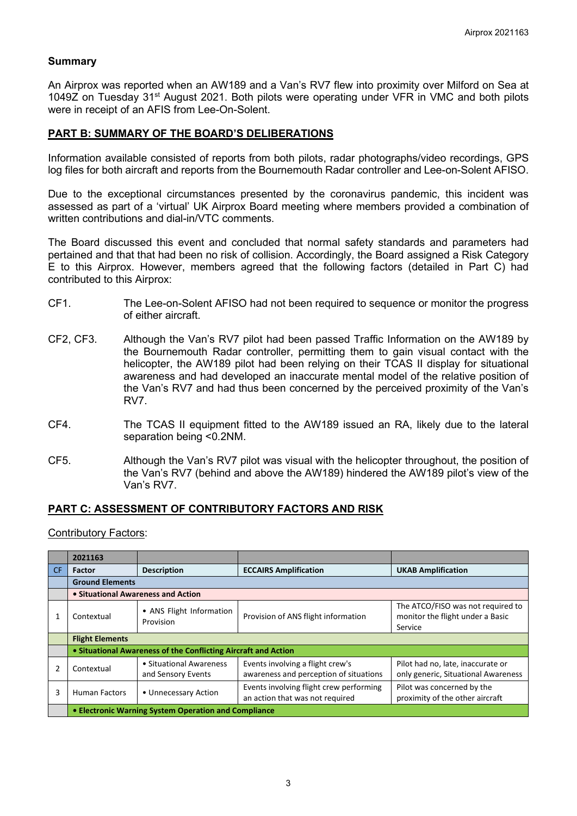## **Summary**

An Airprox was reported when an AW189 and a Van's RV7 flew into proximity over Milford on Sea at 1049Z on Tuesday 31st August 2021. Both pilots were operating under VFR in VMC and both pilots were in receipt of an AFIS from Lee-On-Solent.

#### **PART B: SUMMARY OF THE BOARD'S DELIBERATIONS**

Information available consisted of reports from both pilots, radar photographs/video recordings, GPS log files for both aircraft and reports from the Bournemouth Radar controller and Lee-on-Solent AFISO.

Due to the exceptional circumstances presented by the coronavirus pandemic, this incident was assessed as part of a 'virtual' UK Airprox Board meeting where members provided a combination of written contributions and dial-in/VTC comments.

The Board discussed this event and concluded that normal safety standards and parameters had pertained and that that had been no risk of collision. Accordingly, the Board assigned a Risk Category E to this Airprox. However, members agreed that the following factors (detailed in Part C) had contributed to this Airprox:

- CF1. The Lee-on-Solent AFISO had not been required to sequence or monitor the progress of either aircraft.
- CF2, CF3. Although the Van's RV7 pilot had been passed Traffic Information on the AW189 by the Bournemouth Radar controller, permitting them to gain visual contact with the helicopter, the AW189 pilot had been relying on their TCAS II display for situational awareness and had developed an inaccurate mental model of the relative position of the Van's RV7 and had thus been concerned by the perceived proximity of the Van's RV7.
- CF4. The TCAS II equipment fitted to the AW189 issued an RA, likely due to the lateral separation being <0.2NM.
- CF5. Although the Van's RV7 pilot was visual with the helicopter throughout, the position of the Van's RV7 (behind and above the AW189) hindered the AW189 pilot's view of the Van's RV7.

## **PART C: ASSESSMENT OF CONTRIBUTORY FACTORS AND RISK**

Contributory Factors:

|     | 2021163                                                        |                                               |                                                                            |                                                                                  |  |  |  |
|-----|----------------------------------------------------------------|-----------------------------------------------|----------------------------------------------------------------------------|----------------------------------------------------------------------------------|--|--|--|
| CF. | <b>Factor</b>                                                  | <b>Description</b>                            | <b>ECCAIRS Amplification</b>                                               | <b>UKAB Amplification</b>                                                        |  |  |  |
|     | <b>Ground Elements</b>                                         |                                               |                                                                            |                                                                                  |  |  |  |
|     | • Situational Awareness and Action                             |                                               |                                                                            |                                                                                  |  |  |  |
|     | Contextual                                                     | • ANS Flight Information<br>Provision         | Provision of ANS flight information                                        | The ATCO/FISO was not required to<br>monitor the flight under a Basic<br>Service |  |  |  |
|     | <b>Flight Elements</b>                                         |                                               |                                                                            |                                                                                  |  |  |  |
|     | • Situational Awareness of the Conflicting Aircraft and Action |                                               |                                                                            |                                                                                  |  |  |  |
|     | Contextual                                                     | • Situational Awareness<br>and Sensory Events | Events involving a flight crew's<br>awareness and perception of situations | Pilot had no, late, inaccurate or<br>only generic, Situational Awareness         |  |  |  |
| 3   | <b>Human Factors</b>                                           | • Unnecessary Action                          | Events involving flight crew performing<br>an action that was not required | Pilot was concerned by the<br>proximity of the other aircraft                    |  |  |  |
|     | • Electronic Warning System Operation and Compliance           |                                               |                                                                            |                                                                                  |  |  |  |